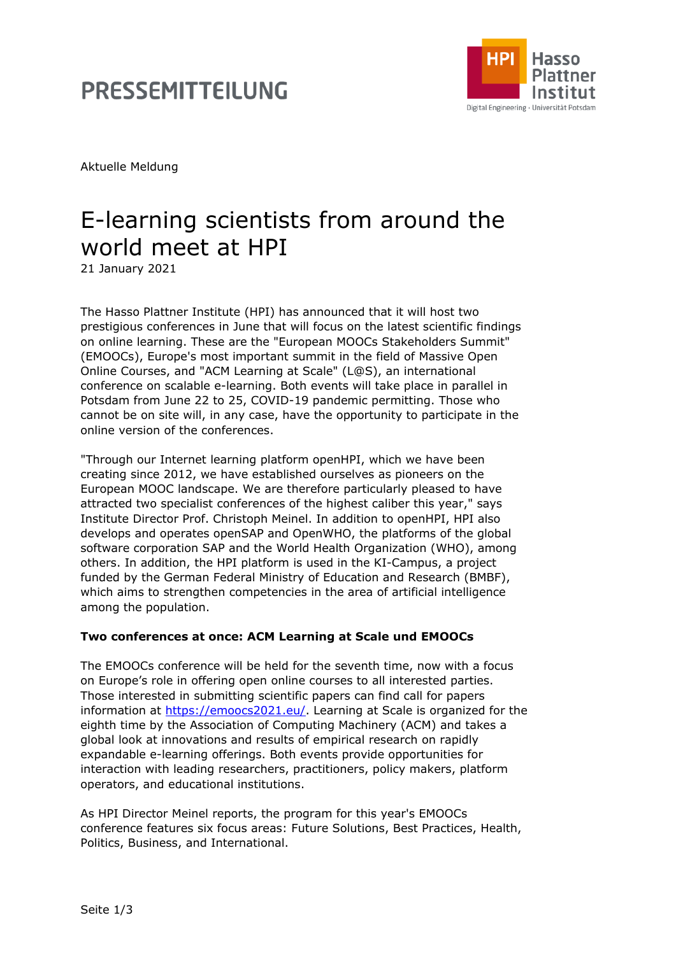# **PRESSEMITTEILUNG**



Aktuelle Meldung

# E-learning scientists from around the world meet at HPI

21 January 2021

The Hasso Plattner Institute (HPI) has announced that it will host two prestigious conferences in June that will focus on the latest scientific findings on online learning. These are the "European MOOCs Stakeholders Summit" (EMOOCs), Europe's most important summit in the field of Massive Open Online Courses, and "ACM Learning at Scale" (L@S), an international conference on scalable e-learning. Both events will take place in parallel in Potsdam from June 22 to 25, COVID-19 pandemic permitting. Those who cannot be on site will, in any case, have the opportunity to participate in the online version of the conferences.

"Through our Internet learning platform openHPI, which we have been creating since 2012, we have established ourselves as pioneers on the European MOOC landscape. We are therefore particularly pleased to have attracted two specialist conferences of the highest caliber this year," says Institute Director Prof. Christoph Meinel. In addition to openHPI, HPI also develops and operates openSAP and OpenWHO, the platforms of the global software corporation SAP and the World Health Organization (WHO), among others. In addition, the HPI platform is used in the KI-Campus, a project funded by the German Federal Ministry of Education and Research (BMBF), which aims to strengthen competencies in the area of artificial intelligence among the population.

### **Two conferences at once: ACM Learning at Scale und EMOOCs**

The EMOOCs conference will be held for the seventh time, now with a focus on Europe's role in offering open online courses to all interested parties. Those interested in submitting scientific papers can find call for papers information at [https://emoocs2021.eu/.](https://emoocs2021.eu/) Learning at Scale is organized for the eighth time by the Association of Computing Machinery (ACM) and takes a global look at innovations and results of empirical research on rapidly expandable e-learning offerings. Both events provide opportunities for interaction with leading researchers, practitioners, policy makers, platform operators, and educational institutions.

As HPI Director Meinel reports, the program for this year's EMOOCs conference features six focus areas: Future Solutions, Best Practices, Health, Politics, Business, and International.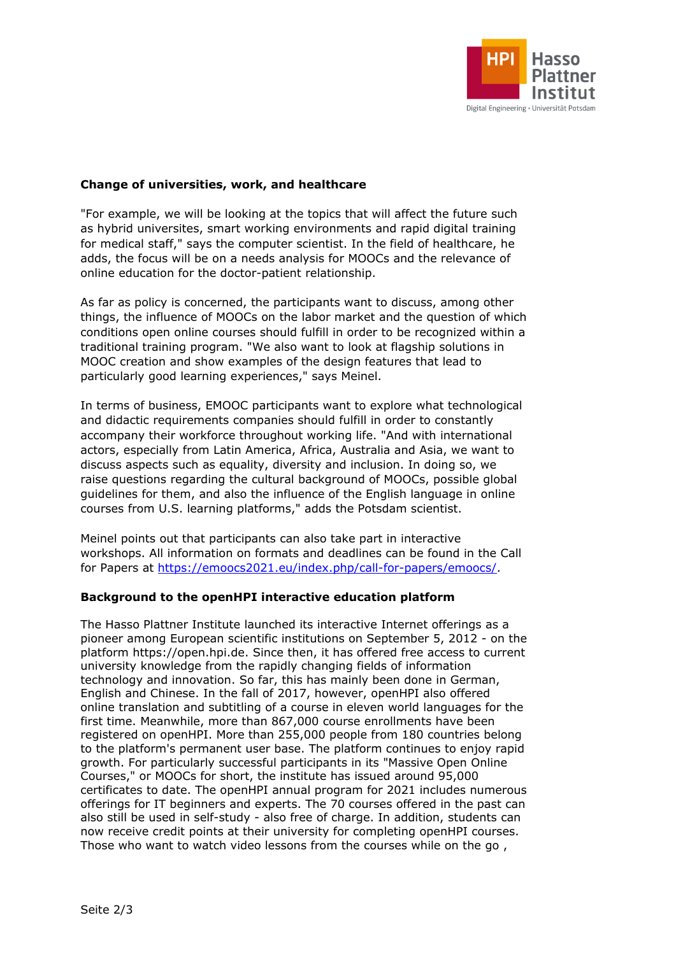

### **Change of universities, work, and healthcare**

"For example, we will be looking at the topics that will affect the future such as hybrid universites, smart working environments and rapid digital training for medical staff," says the computer scientist. In the field of healthcare, he adds, the focus will be on a needs analysis for MOOCs and the relevance of online education for the doctor-patient relationship.

As far as policy is concerned, the participants want to discuss, among other things, the influence of MOOCs on the labor market and the question of which conditions open online courses should fulfill in order to be recognized within a traditional training program. "We also want to look at flagship solutions in MOOC creation and show examples of the design features that lead to particularly good learning experiences," says Meinel.

In terms of business, EMOOC participants want to explore what technological and didactic requirements companies should fulfill in order to constantly accompany their workforce throughout working life. "And with international actors, especially from Latin America, Africa, Australia and Asia, we want to discuss aspects such as equality, diversity and inclusion. In doing so, we raise questions regarding the cultural background of MOOCs, possible global guidelines for them, and also the influence of the English language in online courses from U.S. learning platforms," adds the Potsdam scientist.

Meinel points out that participants can also take part in interactive workshops. All information on formats and deadlines can be found in the Call for Papers at [https://emoocs2021.eu/index.php/call-for-papers/emoocs/.](https://emoocs2021.eu/index.php/call-for-papers/emoocs/)

#### **Background to the openHPI interactive education platform**

The Hasso Plattner Institute launched its interactive Internet offerings as a pioneer among European scientific institutions on September 5, 2012 - on the platform https://open.hpi.de. Since then, it has offered free access to current university knowledge from the rapidly changing fields of information technology and innovation. So far, this has mainly been done in German, English and Chinese. In the fall of 2017, however, openHPI also offered online translation and subtitling of a course in eleven world languages for the first time. Meanwhile, more than 867,000 course enrollments have been registered on openHPI. More than 255,000 people from 180 countries belong to the platform's permanent user base. The platform continues to enjoy rapid growth. For particularly successful participants in its "Massive Open Online Courses," or MOOCs for short, the institute has issued around 95,000 certificates to date. The openHPI annual program for 2021 includes numerous offerings for IT beginners and experts. The 70 courses offered in the past can also still be used in self-study - also free of charge. In addition, students can now receive credit points at their university for completing openHPI courses. Those who want to watch video lessons from the courses while on the go ,